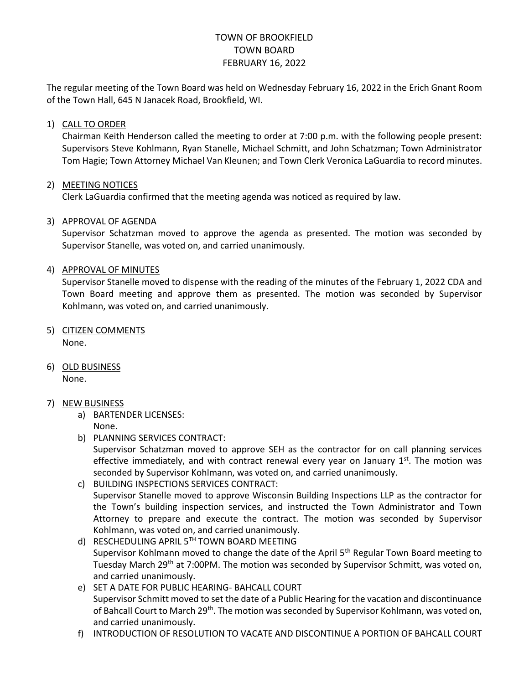# TOWN OF BROOKFIELD TOWN BOARD FEBRUARY 16, 2022

The regular meeting of the Town Board was held on Wednesday February 16, 2022 in the Erich Gnant Room of the Town Hall, 645 N Janacek Road, Brookfield, WI.

# 1) CALL TO ORDER

Chairman Keith Henderson called the meeting to order at 7:00 p.m. with the following people present: Supervisors Steve Kohlmann, Ryan Stanelle, Michael Schmitt, and John Schatzman; Town Administrator Tom Hagie; Town Attorney Michael Van Kleunen; and Town Clerk Veronica LaGuardia to record minutes.

## 2) MEETING NOTICES

Clerk LaGuardia confirmed that the meeting agenda was noticed as required by law.

## 3) APPROVAL OF AGENDA

Supervisor Schatzman moved to approve the agenda as presented. The motion was seconded by Supervisor Stanelle, was voted on, and carried unanimously.

## 4) APPROVAL OF MINUTES

Supervisor Stanelle moved to dispense with the reading of the minutes of the February 1, 2022 CDA and Town Board meeting and approve them as presented. The motion was seconded by Supervisor Kohlmann, was voted on, and carried unanimously.

- 5) CITIZEN COMMENTS None.
- 6) OLD BUSINESS

None.

## 7) NEW BUSINESS

a) BARTENDER LICENSES:

None.

b) PLANNING SERVICES CONTRACT:

Supervisor Schatzman moved to approve SEH as the contractor for on call planning services effective immediately, and with contract renewal every year on January  $1<sup>st</sup>$ . The motion was seconded by Supervisor Kohlmann, was voted on, and carried unanimously.

- c) BUILDING INSPECTIONS SERVICES CONTRACT: Supervisor Stanelle moved to approve Wisconsin Building Inspections LLP as the contractor for the Town's building inspection services, and instructed the Town Administrator and Town Attorney to prepare and execute the contract. The motion was seconded by Supervisor Kohlmann, was voted on, and carried unanimously.
- d) RESCHEDULING APRIL 5TH TOWN BOARD MEETING Supervisor Kohlmann moved to change the date of the April 5<sup>th</sup> Regular Town Board meeting to Tuesday March 29th at 7:00PM. The motion was seconded by Supervisor Schmitt, was voted on, and carried unanimously.
- e) SET A DATE FOR PUBLIC HEARING- BAHCALL COURT Supervisor Schmitt moved to set the date of a Public Hearing for the vacation and discontinuance of Bahcall Court to March 29<sup>th</sup>. The motion was seconded by Supervisor Kohlmann, was voted on, and carried unanimously.
- f) INTRODUCTION OF RESOLUTION TO VACATE AND DISCONTINUE A PORTION OF BAHCALL COURT